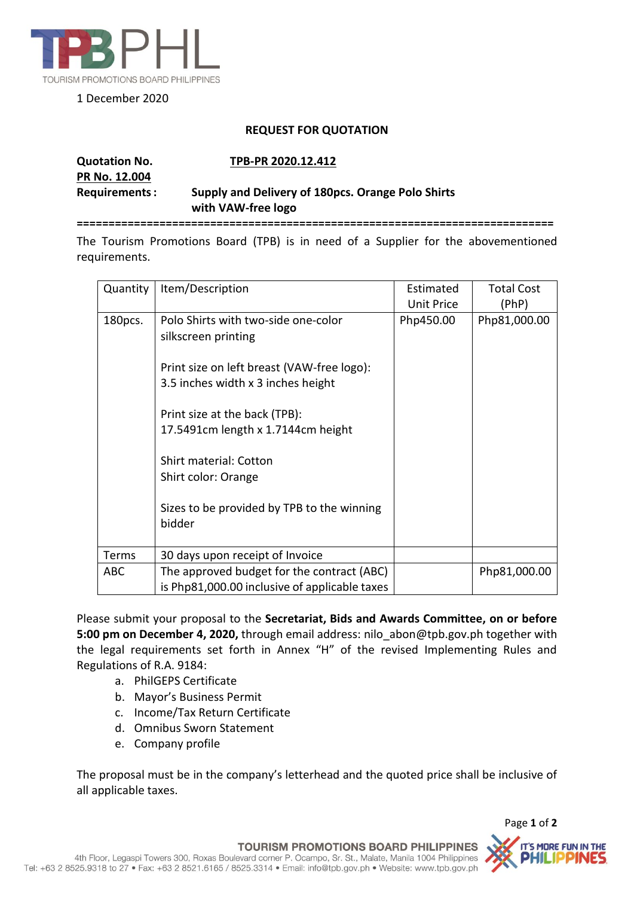

1 December 2020

## **REQUEST FOR QUOTATION**

## **Quotation No. TPB-PR 2020.12.412 PR No. 12.004 Requirements: Supply and Delivery of 180pcs. Orange Polo Shirts with VAW-free logo**

**===========================================================================**

The Tourism Promotions Board (TPB) is in need of a Supplier for the abovementioned requirements.

| Quantity   | Item/Description                                                                            | Estimated<br><b>Unit Price</b> | <b>Total Cost</b><br>(PhP) |
|------------|---------------------------------------------------------------------------------------------|--------------------------------|----------------------------|
| 180pcs.    | Polo Shirts with two-side one-color<br>silkscreen printing                                  | Php450.00                      | Php81,000.00               |
|            | Print size on left breast (VAW-free logo):<br>3.5 inches width x 3 inches height            |                                |                            |
|            | Print size at the back (TPB):<br>17.5491cm length x 1.7144cm height                         |                                |                            |
|            | <b>Shirt material: Cotton</b><br>Shirt color: Orange                                        |                                |                            |
|            | Sizes to be provided by TPB to the winning<br>bidder                                        |                                |                            |
| Terms      | 30 days upon receipt of Invoice                                                             |                                |                            |
| <b>ABC</b> | The approved budget for the contract (ABC)<br>is Php81,000.00 inclusive of applicable taxes |                                | Php81,000.00               |

Please submit your proposal to the **Secretariat, Bids and Awards Committee, on or before 5:00 pm on December 4, 2020,** through email address: nilo\_abon@tpb.gov.ph together with the legal requirements set forth in Annex "H" of the revised Implementing Rules and Regulations of R.A. 9184:

- a. PhilGEPS Certificate
- b. Mayor's Business Permit
- c. Income/Tax Return Certificate
- d. Omnibus Sworn Statement
- e. Company profile

The proposal must be in the company's letterhead and the quoted price shall be inclusive of all applicable taxes.